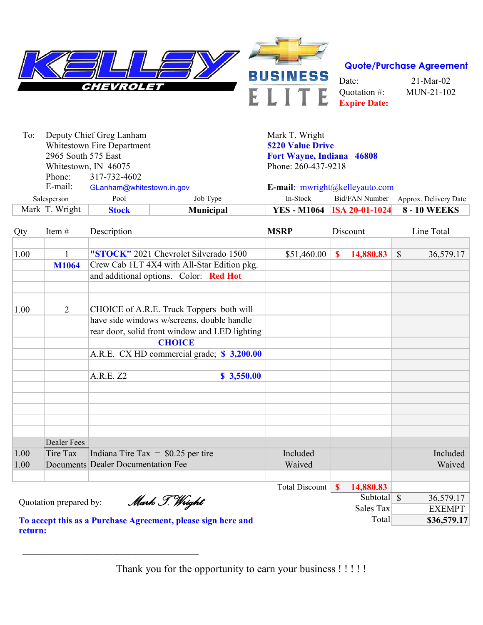

| To:                        | Deputy Chief Greg Lanham  |                  | Mark T. Wright            |                                          |                       |  |  |  |
|----------------------------|---------------------------|------------------|---------------------------|------------------------------------------|-----------------------|--|--|--|
| Whitestown Fire Department |                           |                  | <b>5220 Value Drive</b>   |                                          |                       |  |  |  |
| 2965 South 575 East        |                           |                  | Fort Wayne, Indiana 46808 |                                          |                       |  |  |  |
| Whitestown, IN 46075       |                           |                  | Phone: 260-437-9218       |                                          |                       |  |  |  |
| Phone:                     | 317-732-4602              |                  |                           |                                          |                       |  |  |  |
| E-mail:                    | GLanham@whitestown.in.gov |                  |                           | <b>E-mail:</b> $mwright@kelleyauto.com$  |                       |  |  |  |
| Salesperson                | Pool                      | Job Type         | In-Stock                  | Bid/FAN Number                           | Approx. Delivery Date |  |  |  |
| Mark T. Wright             | <b>Stock</b>              | <b>Municipal</b> |                           | <b>YES</b> - M1064 <b>ISA 20-01-1024</b> | <b>8 - 10 WEEKS</b>   |  |  |  |

| Item#<br>Qty |                        | Description                                    | <b>MSRP</b>           | Discount     |             | Line Total    |               |
|--------------|------------------------|------------------------------------------------|-----------------------|--------------|-------------|---------------|---------------|
| 1.00         | $\mathbf{1}$           | "STOCK" 2021 Chevrolet Silverado 1500          | \$51,460.00           | $\mathbf{s}$ | 14,880.83   | $\mathcal{S}$ | 36,579.17     |
|              | <b>M1064</b>           | Crew Cab 1LT 4X4 with All-Star Edition pkg.    |                       |              |             |               |               |
|              |                        | and additional options. Color: Red Hot         |                       |              |             |               |               |
|              |                        |                                                |                       |              |             |               |               |
| 1.00         | 2                      | CHOICE of A.R.E. Truck Toppers both will       |                       |              |             |               |               |
|              |                        | have side windows w/screens, double handle     |                       |              |             |               |               |
|              |                        | rear door, solid front window and LED lighting |                       |              |             |               |               |
|              |                        | <b>CHOICE</b>                                  |                       |              |             |               |               |
|              |                        | A.R.E. CX HD commercial grade; \$3,200.00      |                       |              |             |               |               |
|              |                        | A.R.E. Z2<br>\$3,550.00                        |                       |              |             |               |               |
|              |                        |                                                |                       |              |             |               |               |
|              |                        |                                                |                       |              |             |               |               |
|              |                        |                                                |                       |              |             |               |               |
|              | <b>Dealer Fees</b>     |                                                |                       |              |             |               |               |
| 1.00         | Tire Tax               | Indiana Tire Tax = $$0.25$ per tire            | Included              |              |             |               | Included      |
| 1.00         |                        | <b>Documents Dealer Documentation Fee</b>      | Waived                |              |             |               | Waived        |
|              |                        |                                                |                       |              |             |               |               |
|              |                        |                                                | <b>Total Discount</b> | $\mathbf{s}$ | 14,880.83   |               |               |
|              | Quotation prepared by: | Mark J. Wright                                 |                       |              | Subtotal \, |               | 36,579.17     |
|              |                        |                                                |                       |              | Sales Tax   |               | <b>EXEMPT</b> |

**To accept this as a Purchase Agreement, please sign here and return:** 

 $\mathcal{L}_\text{max}$  and  $\mathcal{L}_\text{max}$  and  $\mathcal{L}_\text{max}$  and  $\mathcal{L}_\text{max}$  and  $\mathcal{L}_\text{max}$ 

Thank you for the opportunity to earn your business !!!!!

Total **\$36,579.17**